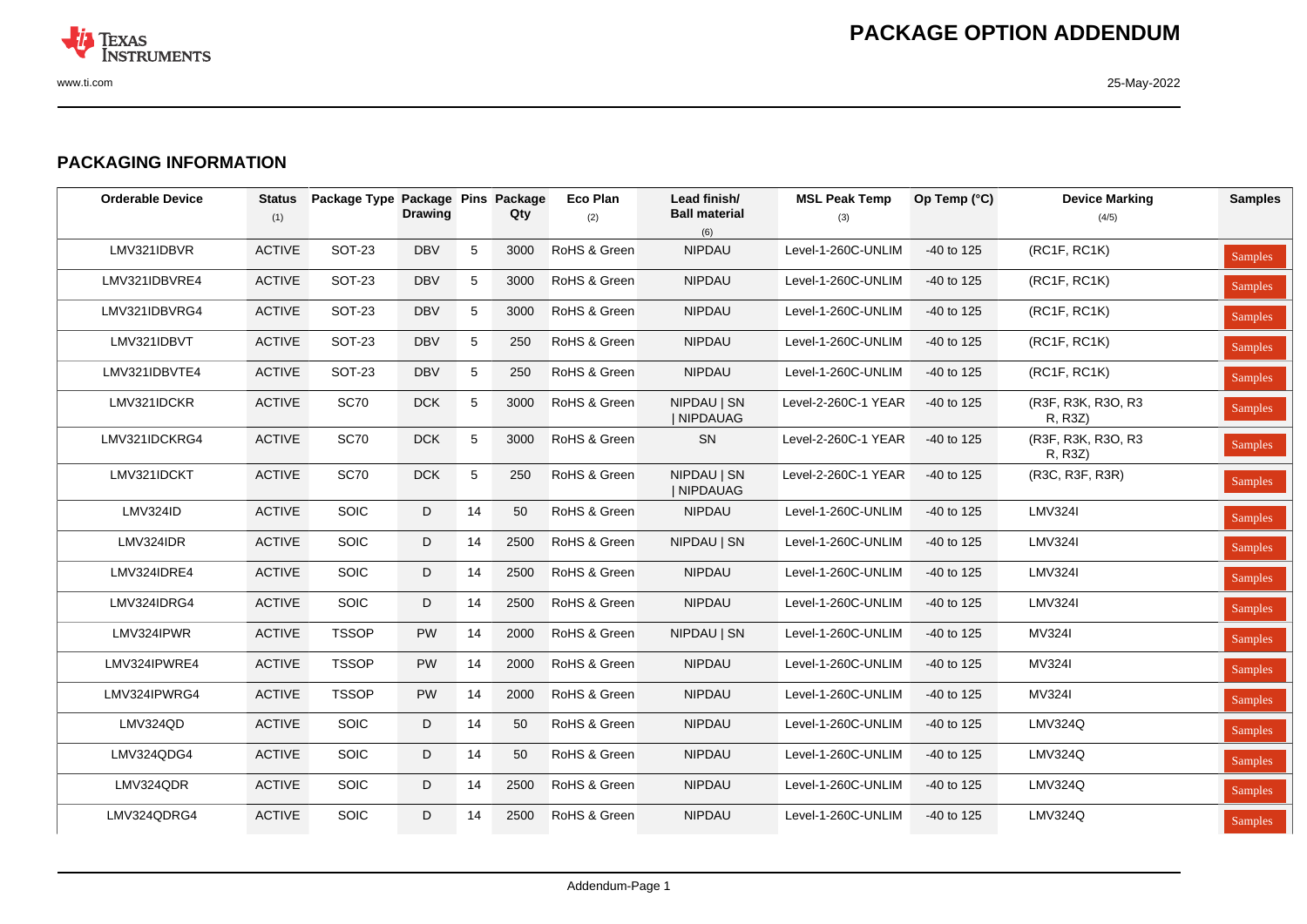

## **PACKAGING INFORMATION**

| <b>Orderable Device</b> | <b>Status</b><br>(1) | Package Type Package Pins Package | <b>Drawing</b> |             | Qty  | <b>Eco Plan</b><br>(2) | Lead finish/<br><b>Ball material</b><br>(6) | <b>MSL Peak Temp</b><br>(3) | Op Temp (°C) | <b>Device Marking</b><br>(4/5) | <b>Samples</b> |
|-------------------------|----------------------|-----------------------------------|----------------|-------------|------|------------------------|---------------------------------------------|-----------------------------|--------------|--------------------------------|----------------|
| LMV321IDBVR             | <b>ACTIVE</b>        | <b>SOT-23</b>                     | <b>DBV</b>     | 5           | 3000 | RoHS & Green           | NIPDAU                                      | Level-1-260C-UNLIM          | $-40$ to 125 | (RC1F, RC1K)                   | <b>Samples</b> |
| LMV321IDBVRE4           | <b>ACTIVE</b>        | <b>SOT-23</b>                     | <b>DBV</b>     | 5           | 3000 | RoHS & Green           | <b>NIPDAU</b>                               | Level-1-260C-UNLIM          | $-40$ to 125 | (RC1F, RC1K)                   | Samples        |
| LMV321IDBVRG4           | <b>ACTIVE</b>        | <b>SOT-23</b>                     | <b>DBV</b>     | 5           | 3000 | RoHS & Green           | <b>NIPDAU</b>                               | Level-1-260C-UNLIM          | -40 to 125   | (RC1F, RC1K)                   | Samples        |
| LMV321IDBVT             | <b>ACTIVE</b>        | <b>SOT-23</b>                     | <b>DBV</b>     | 5           | 250  | RoHS & Green           | NIPDAU                                      | Level-1-260C-UNLIM          | $-40$ to 125 | (RC1F, RC1K)                   | <b>Samples</b> |
| LMV321IDBVTE4           | <b>ACTIVE</b>        | <b>SOT-23</b>                     | <b>DBV</b>     | 5           | 250  | RoHS & Green           | NIPDAU                                      | Level-1-260C-UNLIM          | -40 to 125   | (RC1F, RC1K)                   | Samples        |
| LMV321IDCKR             | <b>ACTIVE</b>        | <b>SC70</b>                       | DCK            | $\,$ 5 $\,$ | 3000 | RoHS & Green           | NIPDAU   SN<br>  NIPDAUAG                   | Level-2-260C-1 YEAR         | $-40$ to 125 | (R3F, R3K, R3O, R3<br>R, R3Z)  | Samples        |
| LMV321IDCKRG4           | <b>ACTIVE</b>        | <b>SC70</b>                       | DCK            | $\sqrt{5}$  | 3000 | RoHS & Green           | SN                                          | Level-2-260C-1 YEAR         | -40 to 125   | (R3F, R3K, R3O, R3<br>R, R3Z)  | Samples        |
| LMV321IDCKT             | <b>ACTIVE</b>        | <b>SC70</b>                       | <b>DCK</b>     | $\sqrt{5}$  | 250  | RoHS & Green           | NIPDAU   SN<br>  NIPDAUAG                   | Level-2-260C-1 YEAR         | $-40$ to 125 | (R3C, R3F, R3R)                | Samples        |
| LMV324ID                | <b>ACTIVE</b>        | SOIC                              | D              | 14          | 50   | RoHS & Green           | NIPDAU                                      | Level-1-260C-UNLIM          | $-40$ to 125 | <b>LMV324I</b>                 | Samples        |
| LMV324IDR               | <b>ACTIVE</b>        | <b>SOIC</b>                       | D              | 14          | 2500 | RoHS & Green           | NIPDAU   SN                                 | Level-1-260C-UNLIM          | $-40$ to 125 | <b>LMV324I</b>                 | Samples        |
| LMV324IDRE4             | <b>ACTIVE</b>        | <b>SOIC</b>                       | D              | 14          | 2500 | RoHS & Green           | <b>NIPDAU</b>                               | Level-1-260C-UNLIM          | -40 to 125   | <b>LMV324I</b>                 | Samples        |
| LMV324IDRG4             | <b>ACTIVE</b>        | <b>SOIC</b>                       | D              | 14          | 2500 | RoHS & Green           | <b>NIPDAU</b>                               | Level-1-260C-UNLIM          | $-40$ to 125 | <b>LMV324I</b>                 | <b>Samples</b> |
| LMV324IPWR              | <b>ACTIVE</b>        | <b>TSSOP</b>                      | <b>PW</b>      | 14          | 2000 | RoHS & Green           | NIPDAU   SN                                 | Level-1-260C-UNLIM          | $-40$ to 125 | MV324I                         | <b>Samples</b> |
| LMV324IPWRE4            | <b>ACTIVE</b>        | <b>TSSOP</b>                      | PW             | 14          | 2000 | RoHS & Green           | <b>NIPDAU</b>                               | Level-1-260C-UNLIM          | -40 to 125   | MV324I                         | <b>Samples</b> |
| LMV324IPWRG4            | <b>ACTIVE</b>        | <b>TSSOP</b>                      | PW             | 14          | 2000 | RoHS & Green           | NIPDAU                                      | Level-1-260C-UNLIM          | -40 to 125   | MV324I                         | Samples        |
| LMV324QD                | <b>ACTIVE</b>        | <b>SOIC</b>                       | D              | 14          | 50   | RoHS & Green           | <b>NIPDAU</b>                               | Level-1-260C-UNLIM          | -40 to 125   | <b>LMV324Q</b>                 | <b>Samples</b> |
| LMV324QDG4              | <b>ACTIVE</b>        | <b>SOIC</b>                       | D              | 14          | 50   | RoHS & Green           | <b>NIPDAU</b>                               | Level-1-260C-UNLIM          | -40 to 125   | <b>LMV324Q</b>                 | Samples        |
| LMV324QDR               | <b>ACTIVE</b>        | <b>SOIC</b>                       | D              | 14          | 2500 | RoHS & Green           | NIPDAU                                      | Level-1-260C-UNLIM          | $-40$ to 125 | <b>LMV324Q</b>                 | Samples        |
| LMV324QDRG4             | <b>ACTIVE</b>        | <b>SOIC</b>                       | D              | 14          | 2500 | RoHS & Green           | <b>NIPDAU</b>                               | Level-1-260C-UNLIM          | $-40$ to 125 | <b>LMV324Q</b>                 | Samples        |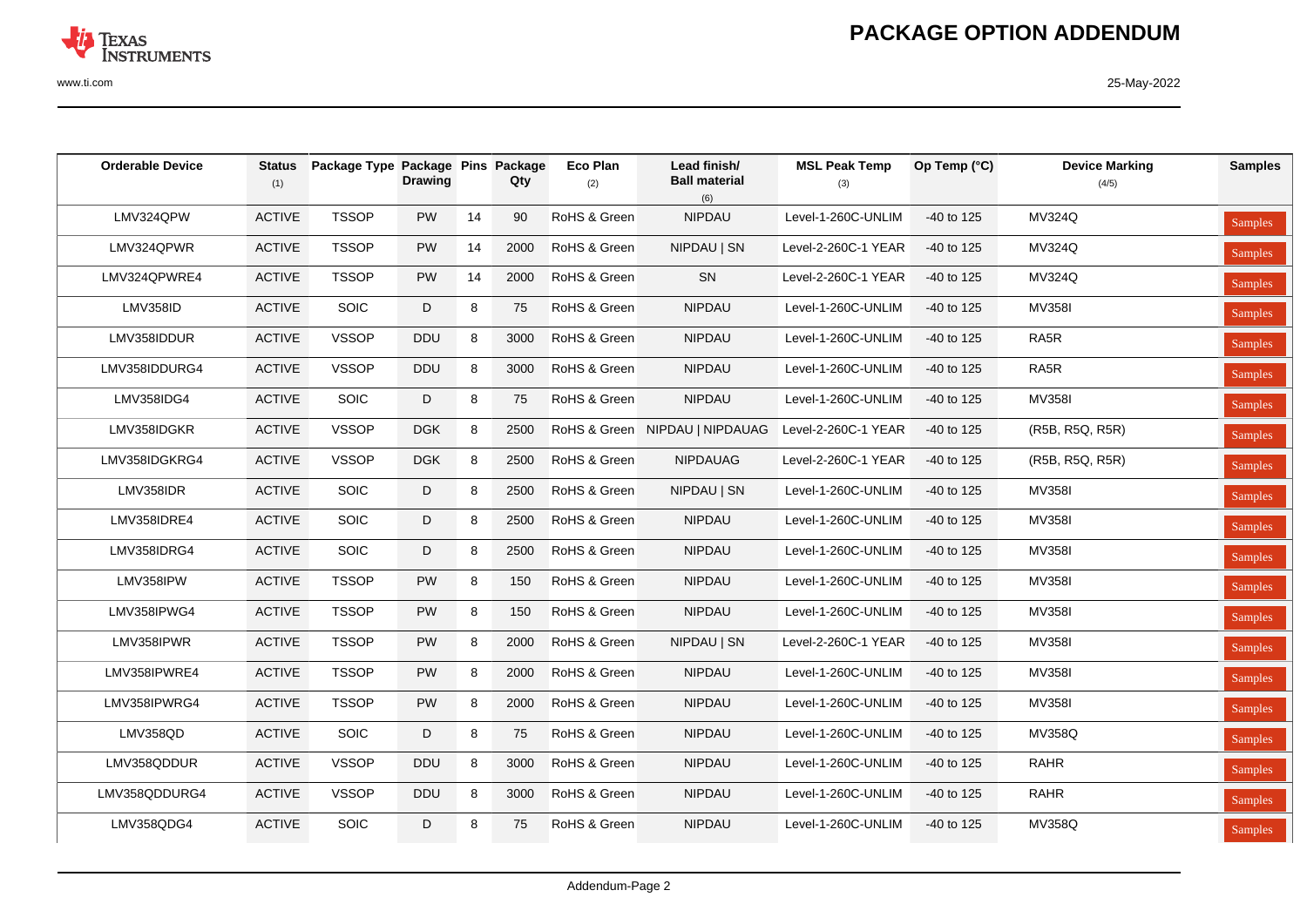

| <b>Orderable Device</b> | <b>Status</b><br>(1) | Package Type Package Pins Package | <b>Drawing</b> |    | Qty  | Eco Plan<br>(2) | Lead finish/<br><b>Ball material</b><br>(6) | <b>MSL Peak Temp</b><br>(3) | Op Temp (°C) | <b>Device Marking</b><br>(4/5) | <b>Samples</b> |
|-------------------------|----------------------|-----------------------------------|----------------|----|------|-----------------|---------------------------------------------|-----------------------------|--------------|--------------------------------|----------------|
| LMV324QPW               | <b>ACTIVE</b>        | <b>TSSOP</b>                      | PW             | 14 | 90   | RoHS & Green    | NIPDAU                                      | Level-1-260C-UNLIM          | -40 to 125   | <b>MV324Q</b>                  | Samples        |
| LMV324QPWR              | <b>ACTIVE</b>        | <b>TSSOP</b>                      | PW             | 14 | 2000 | RoHS & Green    | NIPDAU   SN                                 | Level-2-260C-1 YEAR         | -40 to 125   | MV324Q                         | Samples        |
| LMV324QPWRE4            | <b>ACTIVE</b>        | <b>TSSOP</b>                      | PW             | 14 | 2000 | RoHS & Green    | SN                                          | Level-2-260C-1 YEAR         | -40 to 125   | <b>MV324Q</b>                  | Samples        |
| LMV358ID                | <b>ACTIVE</b>        | <b>SOIC</b>                       | D              | 8  | 75   | RoHS & Green    | <b>NIPDAU</b>                               | Level-1-260C-UNLIM          | -40 to 125   | MV358I                         | Samples        |
| LMV358IDDUR             | <b>ACTIVE</b>        | <b>VSSOP</b>                      | <b>DDU</b>     | 8  | 3000 | RoHS & Green    | NIPDAU                                      | Level-1-260C-UNLIM          | -40 to 125   | RA5R                           | Samples        |
| LMV358IDDURG4           | <b>ACTIVE</b>        | <b>VSSOP</b>                      | <b>DDU</b>     | 8  | 3000 | RoHS & Green    | <b>NIPDAU</b>                               | Level-1-260C-UNLIM          | -40 to 125   | RA5R                           | Samples        |
| LMV358IDG4              | <b>ACTIVE</b>        | SOIC                              | D              | 8  | 75   | RoHS & Green    | NIPDAU                                      | Level-1-260C-UNLIM          | -40 to 125   | <b>MV358I</b>                  | Samples        |
| LMV358IDGKR             | <b>ACTIVE</b>        | <b>VSSOP</b>                      | <b>DGK</b>     | 8  | 2500 |                 | RoHS & Green NIPDAU   NIPDAUAG              | Level-2-260C-1 YEAR         | $-40$ to 125 | (R5B, R5Q, R5R)                | Samples        |
| LMV358IDGKRG4           | <b>ACTIVE</b>        | <b>VSSOP</b>                      | <b>DGK</b>     | 8  | 2500 | RoHS & Green    | <b>NIPDAUAG</b>                             | Level-2-260C-1 YEAR         | -40 to 125   | (R5B, R5Q, R5R)                | Samples        |
| LMV358IDR               | <b>ACTIVE</b>        | SOIC                              | D              | 8  | 2500 | RoHS & Green    | NIPDAU   SN                                 | Level-1-260C-UNLIM          | -40 to 125   | MV358I                         | Samples        |
| LMV358IDRE4             | <b>ACTIVE</b>        | SOIC                              | D              | 8  | 2500 | RoHS & Green    | NIPDAU                                      | Level-1-260C-UNLIM          | -40 to 125   | MV358I                         | Samples        |
| LMV358IDRG4             | <b>ACTIVE</b>        | SOIC                              | D              | 8  | 2500 | RoHS & Green    | NIPDAU                                      | Level-1-260C-UNLIM          | -40 to 125   | MV358I                         | Samples        |
| LMV358IPW               | <b>ACTIVE</b>        | <b>TSSOP</b>                      | PW             | 8  | 150  | RoHS & Green    | NIPDAU                                      | Level-1-260C-UNLIM          | -40 to 125   | MV358I                         | Samples        |
| LMV358IPWG4             | <b>ACTIVE</b>        | <b>TSSOP</b>                      | PW             | 8  | 150  | RoHS & Green    | <b>NIPDAU</b>                               | Level-1-260C-UNLIM          | -40 to 125   | <b>MV358I</b>                  | Samples        |
| LMV358IPWR              | <b>ACTIVE</b>        | <b>TSSOP</b>                      | PW             | 8  | 2000 | RoHS & Green    | NIPDAU   SN                                 | Level-2-260C-1 YEAR         | $-40$ to 125 | <b>MV358I</b>                  | Samples        |
| LMV358IPWRE4            | <b>ACTIVE</b>        | <b>TSSOP</b>                      | PW             | 8  | 2000 | RoHS & Green    | NIPDAU                                      | Level-1-260C-UNLIM          | $-40$ to 125 | <b>MV358I</b>                  | Samples        |
| LMV358IPWRG4            | <b>ACTIVE</b>        | <b>TSSOP</b>                      | PW             | 8  | 2000 | RoHS & Green    | NIPDAU                                      | Level-1-260C-UNLIM          | $-40$ to 125 | <b>MV358I</b>                  | Samples        |
| LMV358QD                | <b>ACTIVE</b>        | SOIC                              | D              | 8  | 75   | RoHS & Green    | NIPDAU                                      | Level-1-260C-UNLIM          | -40 to 125   | <b>MV358Q</b>                  | Samples        |
| LMV358QDDUR             | <b>ACTIVE</b>        | <b>VSSOP</b>                      | <b>DDU</b>     | 8  | 3000 | RoHS & Green    | <b>NIPDAU</b>                               | Level-1-260C-UNLIM          | $-40$ to 125 | <b>RAHR</b>                    | Samples        |
| LMV358QDDURG4           | <b>ACTIVE</b>        | <b>VSSOP</b>                      | DDU            | 8  | 3000 | RoHS & Green    | NIPDAU                                      | Level-1-260C-UNLIM          | $-40$ to 125 | <b>RAHR</b>                    | <b>Samples</b> |
| LMV358QDG4              | <b>ACTIVE</b>        | <b>SOIC</b>                       | D              | 8  | 75   | RoHS & Green    | <b>NIPDAU</b>                               | Level-1-260C-UNLIM          | -40 to 125   | MV358Q                         | Samples        |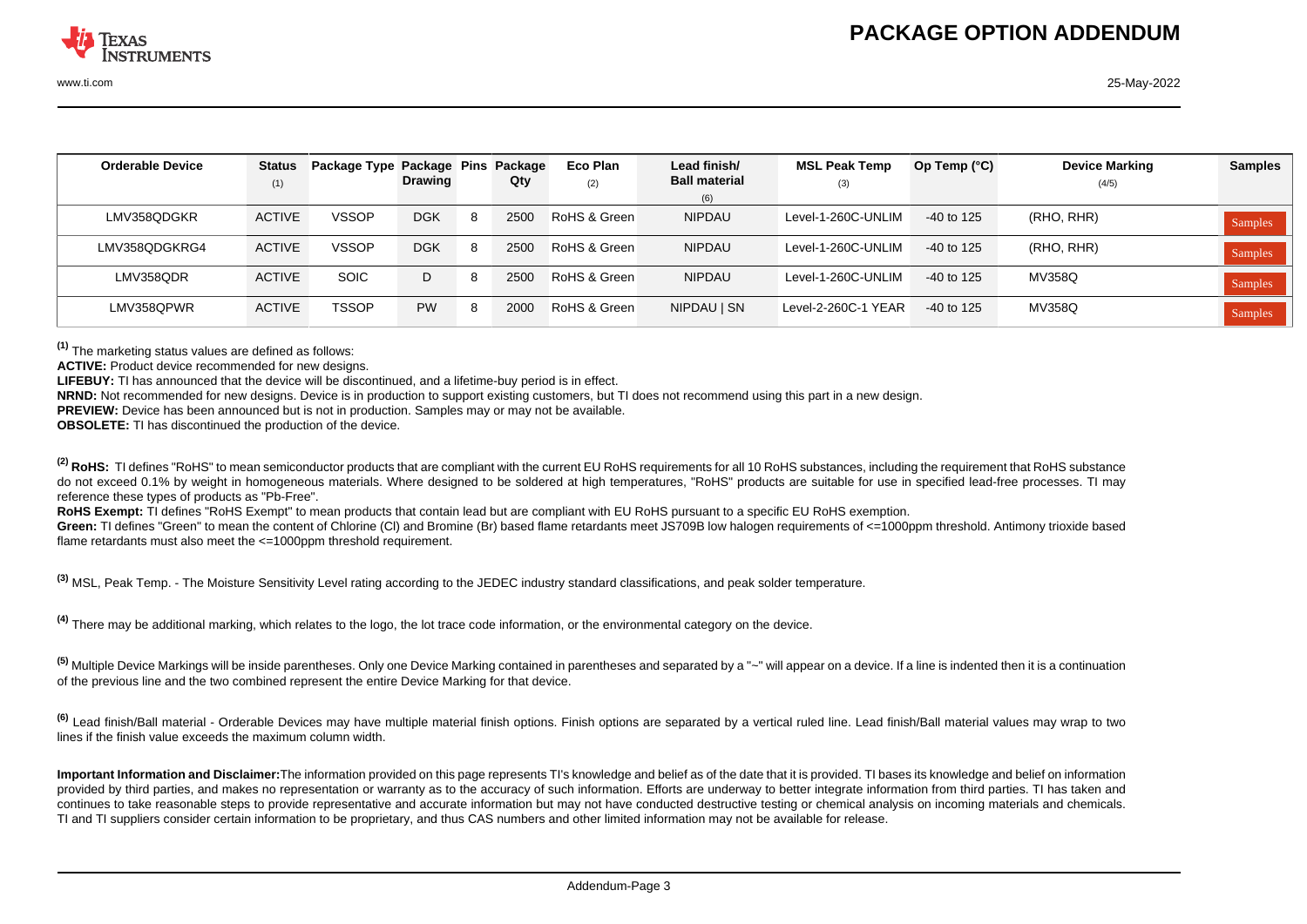| <b>Orderable Device</b> | <b>Status</b> | Package Type Package Pins Package |                |    |      | Eco Plan     | Lead finish/         | <b>MSL Peak Temp</b> | Op Temp $(^{\circ}C)$ | <b>Device Marking</b> | <b>Samples</b> |
|-------------------------|---------------|-----------------------------------|----------------|----|------|--------------|----------------------|----------------------|-----------------------|-----------------------|----------------|
|                         | (1)           |                                   | <b>Drawing</b> |    | Qty  | (2)          | <b>Ball material</b> | (3)                  |                       | (4/5)                 |                |
|                         |               |                                   |                |    |      |              | (6)                  |                      |                       |                       |                |
| LMV358QDGKR             | <b>ACTIVE</b> | <b>VSSOP</b>                      | <b>DGK</b>     | -8 | 2500 | RoHS & Green | <b>NIPDAU</b>        | Level-1-260C-UNLIM   | -40 to 125            | (RHO, RHR)            | Samples        |
| LMV358QDGKRG4           | <b>ACTIVE</b> | <b>VSSOP</b>                      | <b>DGK</b>     | -8 | 2500 | RoHS & Green | <b>NIPDAU</b>        | Level-1-260C-UNLIM   | $-40$ to 125          | (RHO, RHR)            | Samples        |
| LMV358ODR               | <b>ACTIVE</b> | <b>SOIC</b>                       | D              | 8  | 2500 | RoHS & Green | <b>NIPDAU</b>        | Level-1-260C-UNLIM   | -40 to 125            | MV358Q                | Samples        |
| LMV358QPWR              | <b>ACTIVE</b> | <b>TSSOP</b>                      | <b>PW</b>      | -8 | 2000 | RoHS & Green | NIPDAU   SN          | Level-2-260C-1 YEAR  | -40 to 125            | MV358Q                | Samples        |

**(1)** The marketing status values are defined as follows:

**ACTIVE:** Product device recommended for new designs.

**LIFEBUY:** TI has announced that the device will be discontinued, and a lifetime-buy period is in effect.

**NRND:** Not recommended for new designs. Device is in production to support existing customers, but TI does not recommend using this part in a new design.

**PREVIEW:** Device has been announced but is not in production. Samples may or may not be available.

**OBSOLETE:** TI has discontinued the production of the device.

<sup>(2)</sup> RoHS: TI defines "RoHS" to mean semiconductor products that are compliant with the current EU RoHS requirements for all 10 RoHS substances, including the requirement that RoHS substance do not exceed 0.1% by weight in homogeneous materials. Where designed to be soldered at high temperatures. "RoHS" products are suitable for use in specified lead-free processes. TI may reference these types of products as "Pb-Free".

RoHS Exempt: TI defines "RoHS Exempt" to mean products that contain lead but are compliant with EU RoHS pursuant to a specific EU RoHS exemption.

Green: TI defines "Green" to mean the content of Chlorine (CI) and Bromine (Br) based flame retardants meet JS709B low halogen requirements of <=1000ppm threshold. Antimony trioxide based flame retardants must also meet the  $\leq$ =1000ppm threshold requirement.

**(3)** MSL, Peak Temp. - The Moisture Sensitivity Level rating according to the JEDEC industry standard classifications, and peak solder temperature.

**(4)** There may be additional marking, which relates to the logo, the lot trace code information, or the environmental category on the device.

**(5)** Multiple Device Markings will be inside parentheses. Only one Device Marking contained in parentheses and separated by a "~" will appear on a device. If a line is indented then it is a continuation of the previous line and the two combined represent the entire Device Marking for that device.

**(6)** Lead finish/Ball material - Orderable Devices may have multiple material finish options. Finish options are separated by a vertical ruled line. Lead finish/Ball material values may wrap to two lines if the finish value exceeds the maximum column width.

**Important Information and Disclaimer:**The information provided on this page represents TI's knowledge and belief as of the date that it is provided. TI bases its knowledge and belief on information provided by third parties, and makes no representation or warranty as to the accuracy of such information. Efforts are underway to better integrate information from third parties. TI has taken and continues to take reasonable steps to provide representative and accurate information but may not have conducted destructive testing or chemical analysis on incoming materials and chemicals. TI and TI suppliers consider certain information to be proprietary, and thus CAS numbers and other limited information may not be available for release.